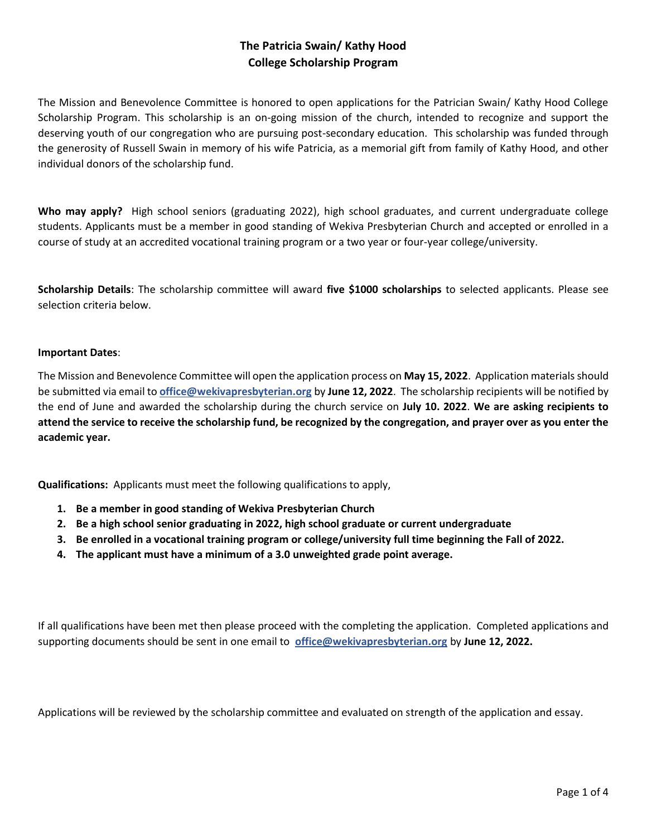# **The Patricia Swain/ Kathy Hood College Scholarship Program**

The Mission and Benevolence Committee is honored to open applications for the Patrician Swain/ Kathy Hood College Scholarship Program. This scholarship is an on-going mission of the church, intended to recognize and support the deserving youth of our congregation who are pursuing post-secondary education. This scholarship was funded through the generosity of Russell Swain in memory of his wife Patricia, as a memorial gift from family of Kathy Hood, and other individual donors of the scholarship fund.

Who may apply? High school seniors (graduating 2022), high school graduates, and current undergraduate college students. Applicants must be a member in good standing of Wekiva Presbyterian Church and accepted or enrolled in a course of study at an accredited vocational training program or a two year or four-year college/university.

**Scholarship Details**: The scholarship committee will award **five \$1000 scholarships** to selected applicants. Please see selection criteria below.

#### **Important Dates**:

The Mission and Benevolence Committee will open the application process on **May 15, 2022**. Application materials should be submitted via email to **[office@wekivapresbyterian.org](mailto:office@wekivapresbyterian.org)** by **June 12, 2022**. The scholarship recipients will be notified by the end of June and awarded the scholarship during the church service on **July 10. 2022**. **We are asking recipients to attend the service to receive the scholarship fund, be recognized by the congregation, and prayer over as you enter the academic year.** 

**Qualifications:** Applicants must meet the following qualifications to apply,

- **1. Be a member in good standing of Wekiva Presbyterian Church**
- **2. Be a high school senior graduating in 2022, high school graduate or current undergraduate**
- **3. Be enrolled in a vocational training program or college/university full time beginning the Fall of 2022.**
- **4. The applicant must have a minimum of a 3.0 unweighted grade point average.**

If all qualifications have been met then please proceed with the completing the application. Completed applications and supporting documents should be sent in one email to **[office@wekivapresbyterian.org](mailto:office@wekivapresbyterian.org)** by **June 12, 2022.**

Applications will be reviewed by the scholarship committee and evaluated on strength of the application and essay.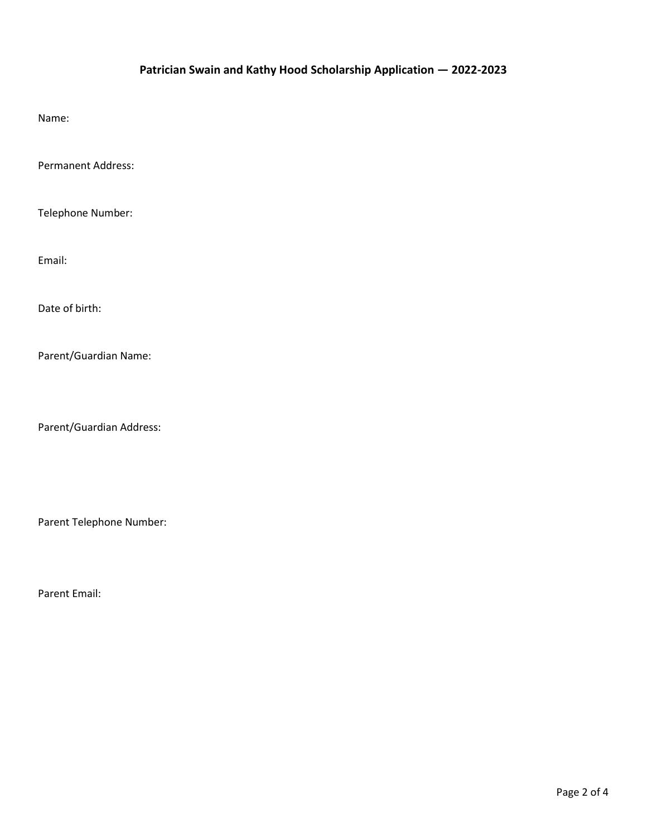## **Patrician Swain and Kathy Hood Scholarship Application — 2022-2023**

Name:

Permanent Address:

Telephone Number:

Email:

Date of birth:

Parent/Guardian Name:

Parent/Guardian Address:

Parent Telephone Number:

Parent Email: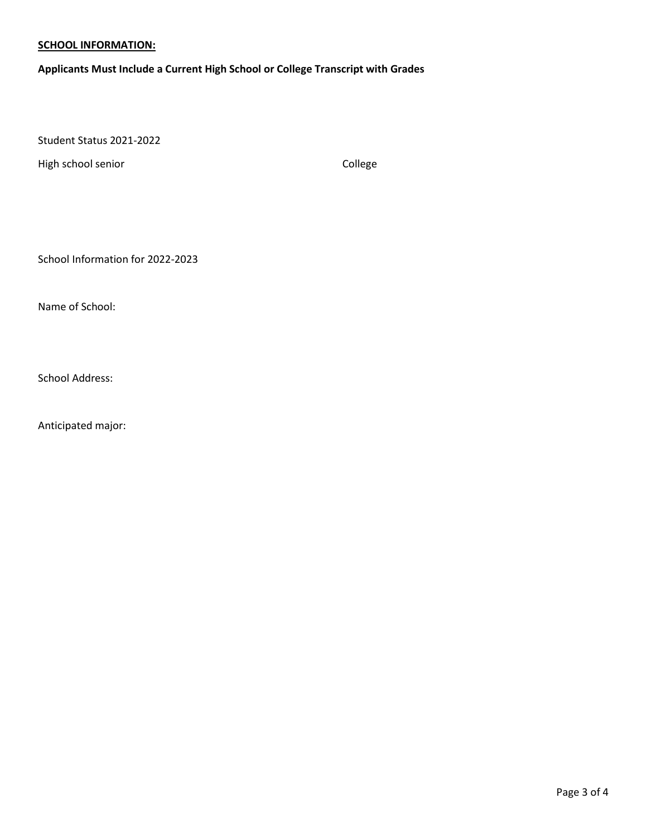### **SCHOOL INFORMATION:**

**Applicants Must Include a Current High School or College Transcript with Grades**

Student Status 2021-2022

High school senior College College

School Information for 2022-2023

Name of School:

School Address:

Anticipated major: